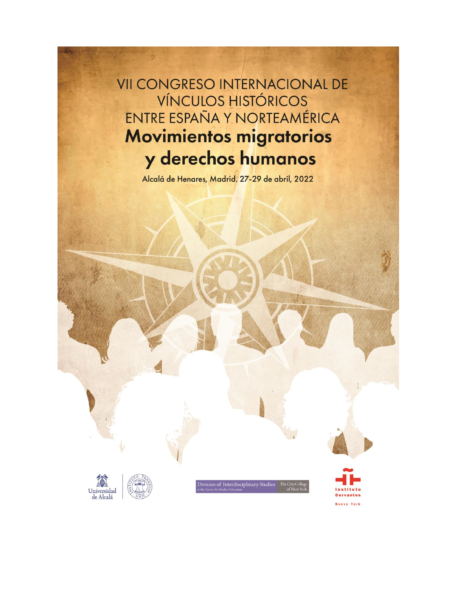**VII CONGRESO INTERNACIONAL DE VÍNCULOS HISTÓRICOS** ENTRE ESPAÑA Y NORTEAMÉRICA **Movimientos migratorios** y derechos humanos

Alcalá de Henares, Madrid. 27-29 de abril, 2022





Division of Interdisciplinary Studies The City

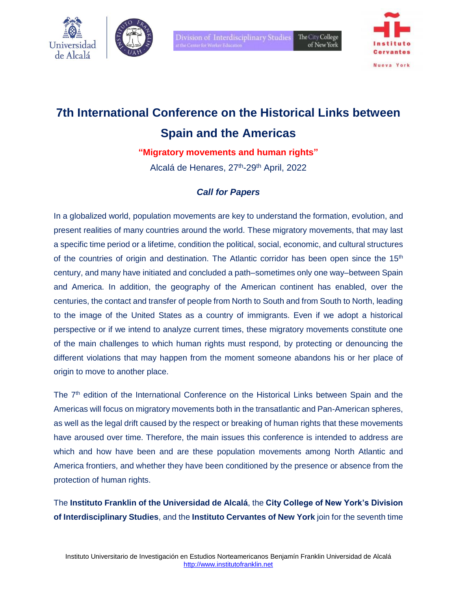



# **7th International Conference on the Historical Links between Spain and the Americas**

**"Migratory movements and human rights"**

Alcalá de Henares, 27<sup>th</sup>-29<sup>th</sup> April, 2022

## *Call for Papers*

In a globalized world, population movements are key to understand the formation, evolution, and present realities of many countries around the world. These migratory movements, that may last a specific time period or a lifetime, condition the political, social, economic, and cultural structures of the countries of origin and destination. The Atlantic corridor has been open since the 15<sup>th</sup> century, and many have initiated and concluded a path–sometimes only one way–between Spain and America. In addition, the geography of the American continent has enabled, over the centuries, the contact and transfer of people from North to South and from South to North, leading to the image of the United States as a country of immigrants. Even if we adopt a historical perspective or if we intend to analyze current times, these migratory movements constitute one of the main challenges to which human rights must respond, by protecting or denouncing the different violations that may happen from the moment someone abandons his or her place of origin to move to another place.

The 7<sup>th</sup> edition of the International Conference on the Historical Links between Spain and the Americas will focus on migratory movements both in the transatlantic and Pan-American spheres, as well as the legal drift caused by the respect or breaking of human rights that these movements have aroused over time. Therefore, the main issues this conference is intended to address are which and how have been and are these population movements among North Atlantic and America frontiers, and whether they have been conditioned by the presence or absence from the protection of human rights.

The **Instituto Franklin of the Universidad de Alcalá**, the **City College of New York's Division of Interdisciplinary Studies**, and the **Instituto Cervantes of New York** join for the seventh time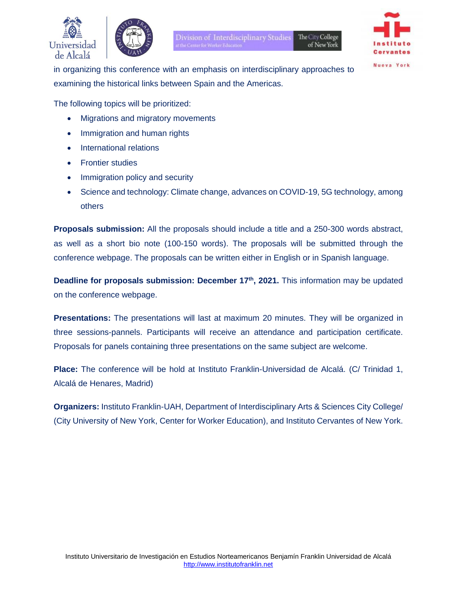



Division of Interdisciplinary Studies The City College of New York



**Nueva** York

in organizing this conference with an emphasis on interdisciplinary approaches to examining the historical links between Spain and the Americas.

The following topics will be prioritized:

- Migrations and migratory movements
- Immigration and human rights
- International relations
- Frontier studies
- Immigration policy and security
- Science and technology: Climate change, advances on COVID-19, 5G technology, among others

**Proposals submission:** All the proposals should include a title and a 250-300 words abstract, as well as a short bio note (100-150 words). The proposals will be submitted through the conference webpage. The proposals can be written either in English or in Spanish language.

**Deadline for proposals submission: December 17th, 2021.** This information may be updated on the conference webpage.

**Presentations:** The presentations will last at maximum 20 minutes. They will be organized in three sessions-pannels. Participants will receive an attendance and participation certificate. Proposals for panels containing three presentations on the same subject are welcome.

**Place:** The conference will be hold at Instituto Franklin-Universidad de Alcalá. (C/ Trinidad 1, Alcalá de Henares, Madrid)

**Organizers:** Instituto Franklin-UAH, Department of Interdisciplinary Arts & Sciences City College/ (City University of New York, Center for Worker Education), and Instituto Cervantes of New York.